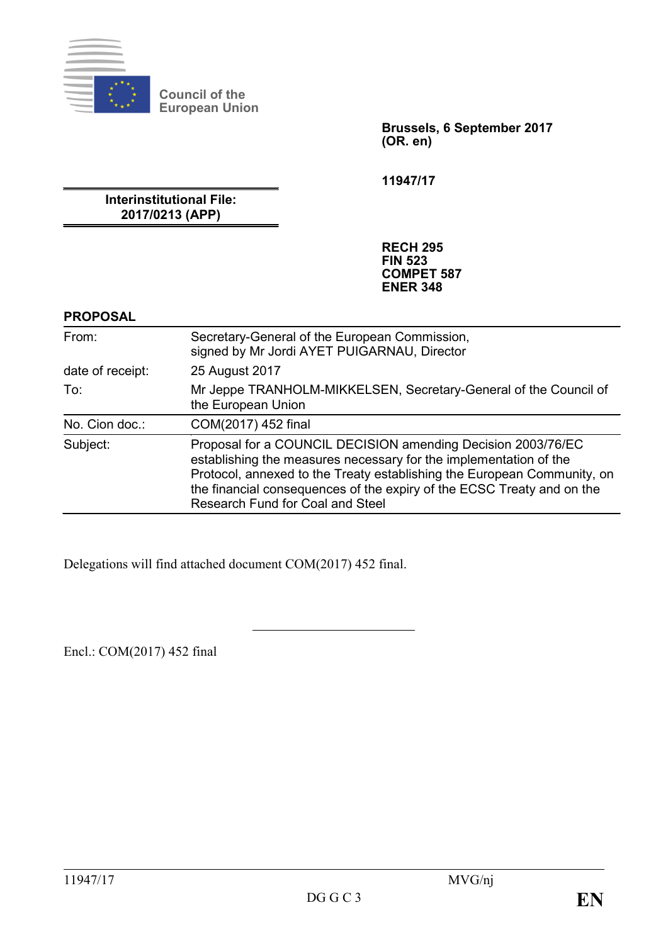

**Council of the European Union**

> **Brussels, 6 September 2017 (OR. en)**

**11947/17**

**Interinstitutional File: 2017/0213 (APP)**

> **RECH 295 FIN 523 COMPET 587 ENER 348**

#### **PROPOSAL**

| From:            | Secretary-General of the European Commission,<br>signed by Mr Jordi AYET PUIGARNAU, Director                                                                                                                                                                                                                               |
|------------------|----------------------------------------------------------------------------------------------------------------------------------------------------------------------------------------------------------------------------------------------------------------------------------------------------------------------------|
| date of receipt: | 25 August 2017                                                                                                                                                                                                                                                                                                             |
| To:              | Mr Jeppe TRANHOLM-MIKKELSEN, Secretary-General of the Council of<br>the European Union                                                                                                                                                                                                                                     |
| No. Cion doc.:   | COM(2017) 452 final                                                                                                                                                                                                                                                                                                        |
| Subject:         | Proposal for a COUNCIL DECISION amending Decision 2003/76/EC<br>establishing the measures necessary for the implementation of the<br>Protocol, annexed to the Treaty establishing the European Community, on<br>the financial consequences of the expiry of the ECSC Treaty and on the<br>Research Fund for Coal and Steel |

Delegations will find attached document COM(2017) 452 final.

Encl.: COM(2017) 452 final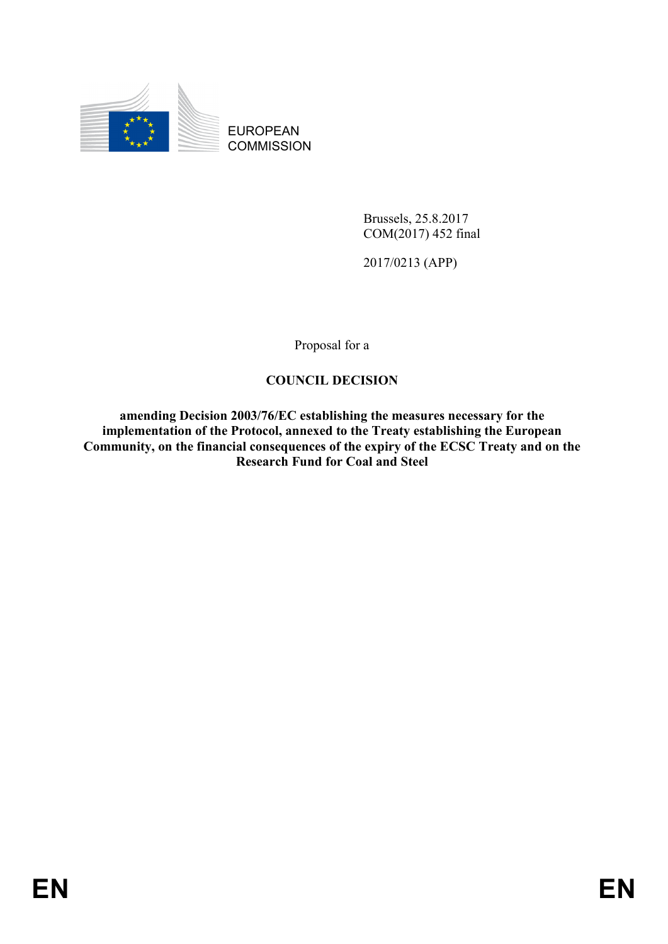

EUROPEAN **COMMISSION** 

> Brussels, 25.8.2017 COM(2017) 452 final

2017/0213 (APP)

Proposal for a

## **COUNCIL DECISION**

**amending Decision 2003/76/EC establishing the measures necessary for the implementation of the Protocol, annexed to the Treaty establishing the European Community, on the financial consequences of the expiry of the ECSC Treaty and on the Research Fund for Coal and Steel**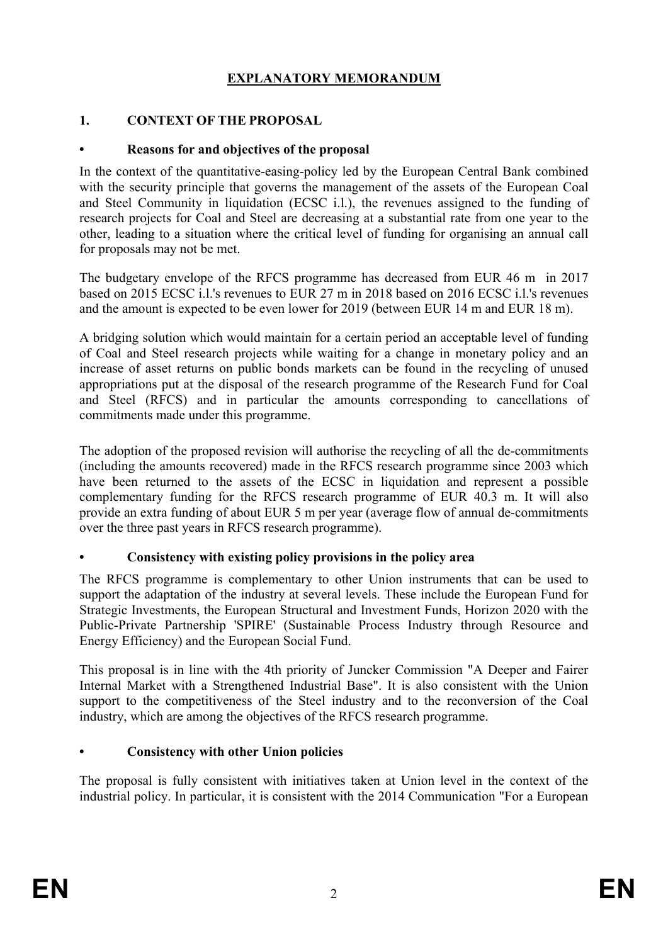# **EXPLANATORY MEMORANDUM**

## **1. CONTEXT OF THE PROPOSAL**

### **• Reasons for and objectives of the proposal**

In the context of the quantitative-easing-policy led by the European Central Bank combined with the security principle that governs the management of the assets of the European Coal and Steel Community in liquidation (ECSC i.l.), the revenues assigned to the funding of research projects for Coal and Steel are decreasing at a substantial rate from one year to the other, leading to a situation where the critical level of funding for organising an annual call for proposals may not be met.

The budgetary envelope of the RFCS programme has decreased from EUR 46 m in 2017 based on 2015 ECSC i.l.'s revenues to EUR 27 m in 2018 based on 2016 ECSC i.l.'s revenues and the amount is expected to be even lower for 2019 (between EUR 14 m and EUR 18 m).

A bridging solution which would maintain for a certain period an acceptable level of funding of Coal and Steel research projects while waiting for a change in monetary policy and an increase of asset returns on public bonds markets can be found in the recycling of unused appropriations put at the disposal of the research programme of the Research Fund for Coal and Steel (RFCS) and in particular the amounts corresponding to cancellations of commitments made under this programme.

The adoption of the proposed revision will authorise the recycling of all the de-commitments (including the amounts recovered) made in the RFCS research programme since 2003 which have been returned to the assets of the ECSC in liquidation and represent a possible complementary funding for the RFCS research programme of EUR 40.3 m. It will also provide an extra funding of about EUR 5 m per year (average flow of annual de-commitments over the three past years in RFCS research programme).

## **• Consistency with existing policy provisions in the policy area**

The RFCS programme is complementary to other Union instruments that can be used to support the adaptation of the industry at several levels. These include the European Fund for Strategic Investments, the European Structural and Investment Funds, Horizon 2020 with the Public-Private Partnership 'SPIRE' (Sustainable Process Industry through Resource and Energy Efficiency) and the European Social Fund.

This proposal is in line with the 4th priority of Juncker Commission "A Deeper and Fairer Internal Market with a Strengthened Industrial Base". It is also consistent with the Union support to the competitiveness of the Steel industry and to the reconversion of the Coal industry, which are among the objectives of the RFCS research programme.

## **• Consistency with other Union policies**

The proposal is fully consistent with initiatives taken at Union level in the context of the industrial policy. In particular, it is consistent with the 2014 Communication "For a European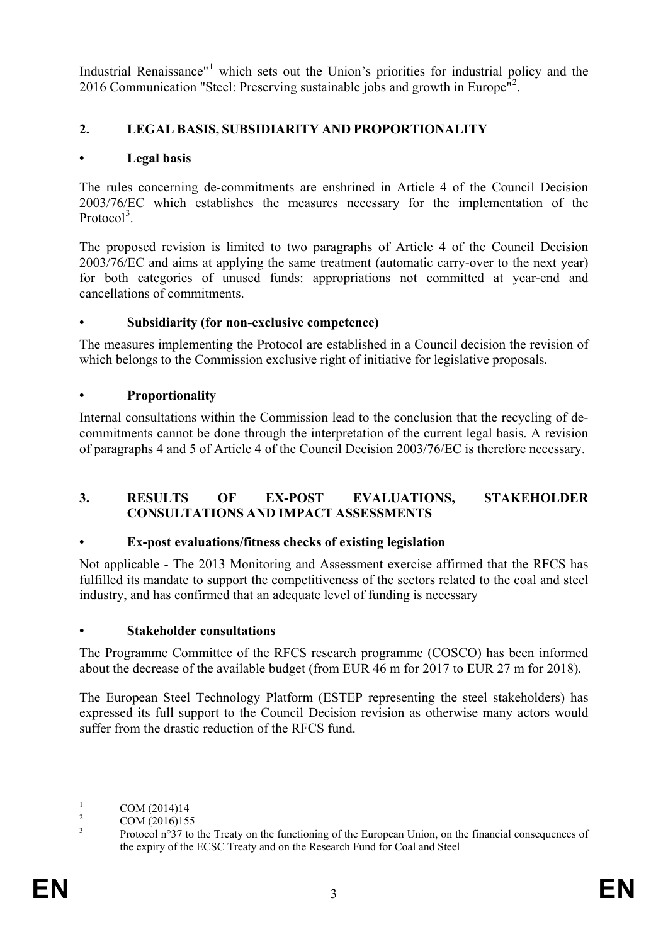Industrial Renaissance"<sup>[1](#page-3-0)</sup> which sets out the Union's priorities for industrial policy and the [2](#page-3-1)016 Communication "Steel: Preserving sustainable jobs and growth in Europe<sup>n2</sup>.

# **2. LEGAL BASIS, SUBSIDIARITY AND PROPORTIONALITY**

## **• Legal basis**

The rules concerning de-commitments are enshrined in Article 4 of the Council Decision 2003/76/EC which establishes the measures necessary for the implementation of the Protocol<sup>[3](#page-3-2)</sup>.

The proposed revision is limited to two paragraphs of Article 4 of the Council Decision 2003/76/EC and aims at applying the same treatment (automatic carry-over to the next year) for both categories of unused funds: appropriations not committed at year-end and cancellations of commitments.

## **• Subsidiarity (for non-exclusive competence)**

The measures implementing the Protocol are established in a Council decision the revision of which belongs to the Commission exclusive right of initiative for legislative proposals.

# **• Proportionality**

Internal consultations within the Commission lead to the conclusion that the recycling of decommitments cannot be done through the interpretation of the current legal basis. A revision of paragraphs 4 and 5 of Article 4 of the Council Decision 2003/76/EC is therefore necessary.

## **3. RESULTS OF EX-POST EVALUATIONS, STAKEHOLDER CONSULTATIONS AND IMPACT ASSESSMENTS**

## **• Ex-post evaluations/fitness checks of existing legislation**

Not applicable - The 2013 Monitoring and Assessment exercise affirmed that the RFCS has fulfilled its mandate to support the competitiveness of the sectors related to the coal and steel industry, and has confirmed that an adequate level of funding is necessary

## **• Stakeholder consultations**

The Programme Committee of the RFCS research programme (COSCO) has been informed about the decrease of the available budget (from EUR 46 m for 2017 to EUR 27 m for 2018).

The European Steel Technology Platform (ESTEP representing the steel stakeholders) has expressed its full support to the Council Decision revision as otherwise many actors would suffer from the drastic reduction of the RFCS fund.

<span id="page-3-2"></span>

<span id="page-3-1"></span><span id="page-3-0"></span><sup>&</sup>lt;sup>1</sup> COM (2014)14<br><sup>2</sup> COM (2016)155<br><sup>3</sup> Protocol n°37 to the Treaty on the functioning of the European Union, on the financial consequences of the expiry of the ECSC Treaty and on the Research Fund for Coal and Steel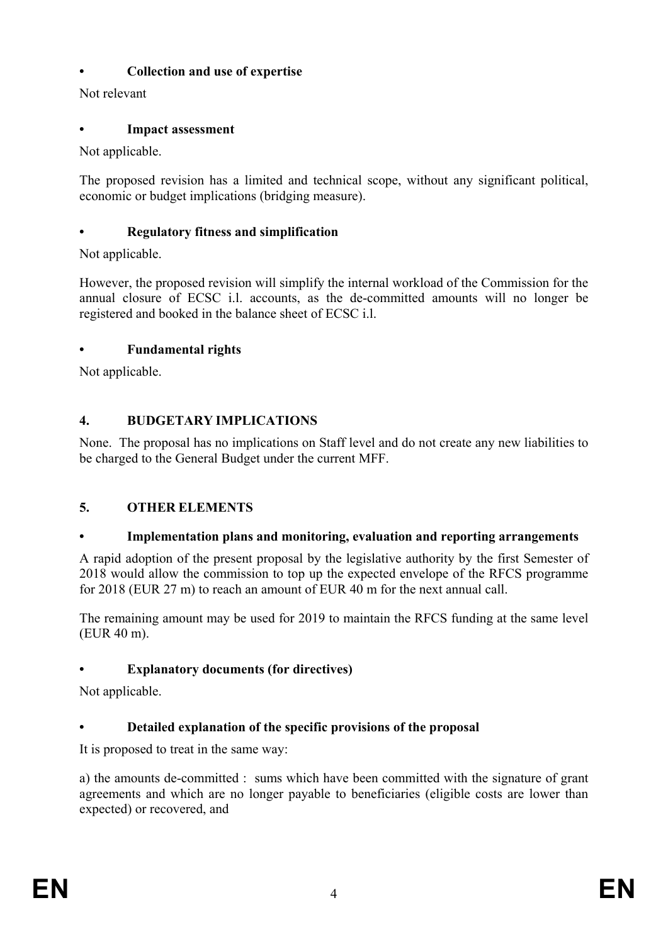# **• Collection and use of expertise**

Not relevant

# **• Impact assessment**

Not applicable.

The proposed revision has a limited and technical scope, without any significant political, economic or budget implications (bridging measure).

# **• Regulatory fitness and simplification**

Not applicable.

However, the proposed revision will simplify the internal workload of the Commission for the annual closure of ECSC i.l. accounts, as the de-committed amounts will no longer be registered and booked in the balance sheet of ECSC i.l.

# **• Fundamental rights**

Not applicable.

# **4. BUDGETARY IMPLICATIONS**

None. The proposal has no implications on Staff level and do not create any new liabilities to be charged to the General Budget under the current MFF.

# **5. OTHER ELEMENTS**

# **• Implementation plans and monitoring, evaluation and reporting arrangements**

A rapid adoption of the present proposal by the legislative authority by the first Semester of 2018 would allow the commission to top up the expected envelope of the RFCS programme for 2018 (EUR 27 m) to reach an amount of EUR 40 m for the next annual call.

The remaining amount may be used for 2019 to maintain the RFCS funding at the same level (EUR 40 m).

# **• Explanatory documents (for directives)**

Not applicable.

# **• Detailed explanation of the specific provisions of the proposal**

It is proposed to treat in the same way:

a) the amounts de-committed : sums which have been committed with the signature of grant agreements and which are no longer payable to beneficiaries (eligible costs are lower than expected) or recovered, and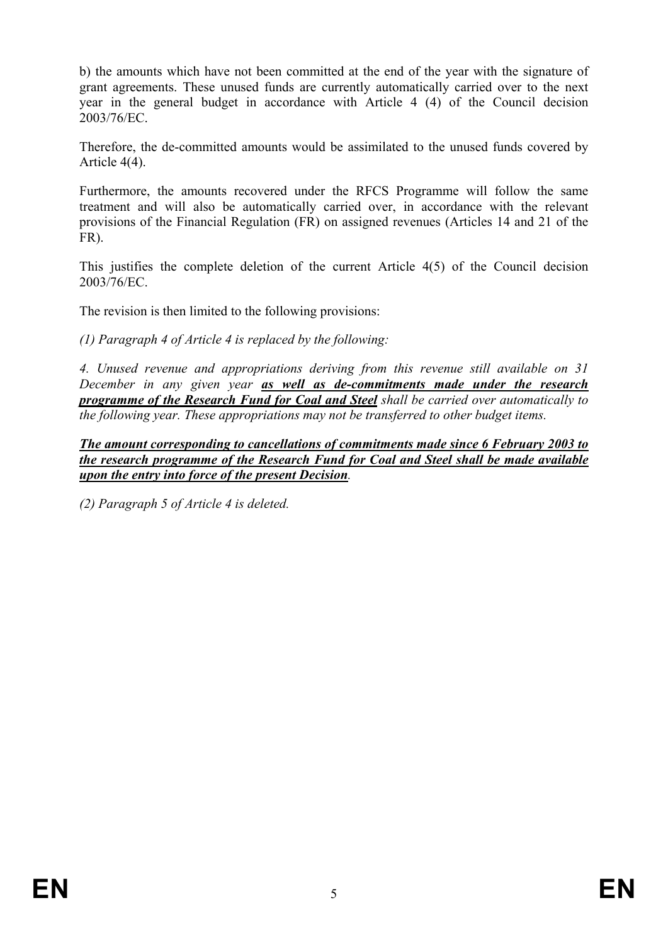b) the amounts which have not been committed at the end of the year with the signature of grant agreements. These unused funds are currently automatically carried over to the next year in the general budget in accordance with Article 4 (4) of the Council decision 2003/76/EC.

Therefore, the de-committed amounts would be assimilated to the unused funds covered by Article 4(4).

Furthermore, the amounts recovered under the RFCS Programme will follow the same treatment and will also be automatically carried over, in accordance with the relevant provisions of the Financial Regulation (FR) on assigned revenues (Articles 14 and 21 of the FR).

This justifies the complete deletion of the current Article 4(5) of the Council decision 2003/76/EC.

The revision is then limited to the following provisions:

*(1) Paragraph 4 of Article 4 is replaced by the following:*

*4. Unused revenue and appropriations deriving from this revenue still available on 31 December in any given year as well as de-commitments made under the research programme of the Research Fund for Coal and Steel shall be carried over automatically to the following year. These appropriations may not be transferred to other budget items.*

*The amount corresponding to cancellations of commitments made since 6 February 2003 to the research programme of the Research Fund for Coal and Steel shall be made available upon the entry into force of the present Decision.*

*(2) Paragraph 5 of Article 4 is deleted.*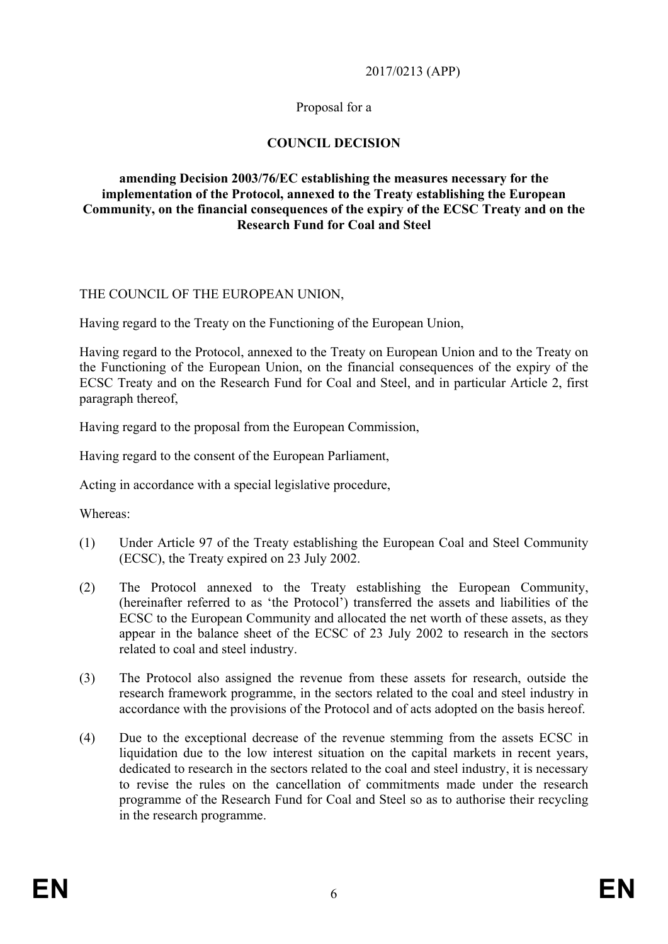#### 2017/0213 (APP)

## Proposal for a

## **COUNCIL DECISION**

#### **amending Decision 2003/76/EC establishing the measures necessary for the implementation of the Protocol, annexed to the Treaty establishing the European Community, on the financial consequences of the expiry of the ECSC Treaty and on the Research Fund for Coal and Steel**

### THE COUNCIL OF THE EUROPEAN UNION,

Having regard to the Treaty on the Functioning of the European Union,

Having regard to the Protocol, annexed to the Treaty on European Union and to the Treaty on the Functioning of the European Union, on the financial consequences of the expiry of the ECSC Treaty and on the Research Fund for Coal and Steel, and in particular Article 2, first paragraph thereof,

Having regard to the proposal from the European Commission,

Having regard to the consent of the European Parliament,

Acting in accordance with a special legislative procedure,

Whereas:

- (1) Under Article 97 of the Treaty establishing the European Coal and Steel Community (ECSC), the Treaty expired on 23 July 2002.
- (2) The Protocol annexed to the Treaty establishing the European Community, (hereinafter referred to as 'the Protocol') transferred the assets and liabilities of the ECSC to the European Community and allocated the net worth of these assets, as they appear in the balance sheet of the ECSC of 23 July 2002 to research in the sectors related to coal and steel industry.
- (3) The Protocol also assigned the revenue from these assets for research, outside the research framework programme, in the sectors related to the coal and steel industry in accordance with the provisions of the Protocol and of acts adopted on the basis hereof.
- (4) Due to the exceptional decrease of the revenue stemming from the assets ECSC in liquidation due to the low interest situation on the capital markets in recent years, dedicated to research in the sectors related to the coal and steel industry, it is necessary to revise the rules on the cancellation of commitments made under the research programme of the Research Fund for Coal and Steel so as to authorise their recycling in the research programme.